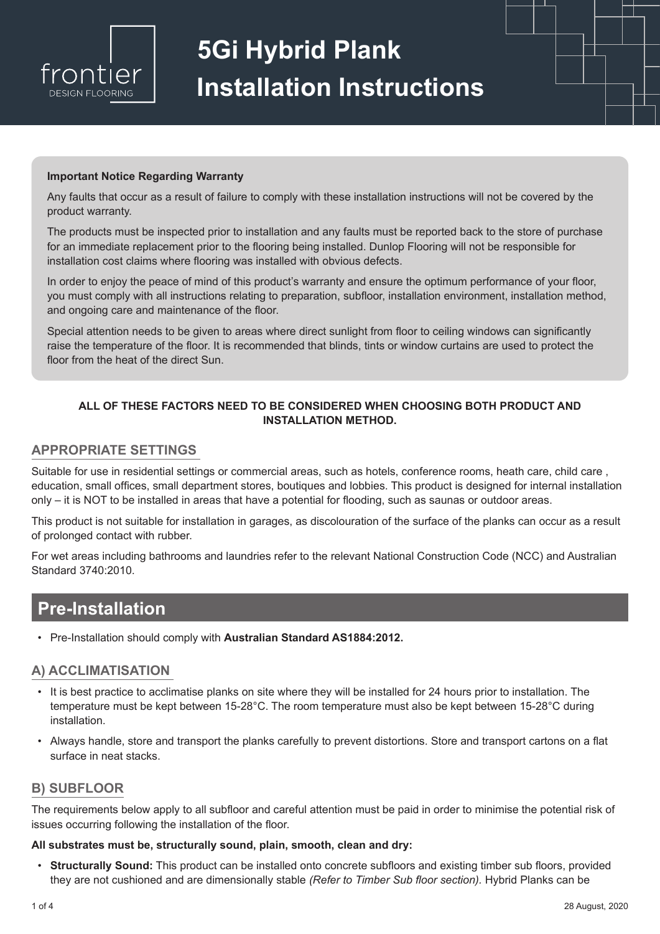

# **5Gi Hybrid Plank Installation Instructions**

#### **Important Notice Regarding Warranty**

Any faults that occur as a result of failure to comply with these installation instructions will not be covered by the product warranty.

The products must be inspected prior to installation and any faults must be reported back to the store of purchase for an immediate replacement prior to the flooring being installed. Dunlop Flooring will not be responsible for installation cost claims where flooring was installed with obvious defects.

In order to enjoy the peace of mind of this product's warranty and ensure the optimum performance of your floor, you must comply with all instructions relating to preparation, subfloor, installation environment, installation method, and ongoing care and maintenance of the floor.

Special attention needs to be given to areas where direct sunlight from floor to ceiling windows can significantly raise the temperature of the floor. It is recommended that blinds, tints or window curtains are used to protect the floor from the heat of the direct Sun.

#### **ALL OF THESE FACTORS NEED TO BE CONSIDERED WHEN CHOOSING BOTH PRODUCT AND INSTALLATION METHOD.**

#### **APPROPRIATE SETTINGS**

Suitable for use in residential settings or commercial areas, such as hotels, conference rooms, heath care, child care , education, small offices, small department stores, boutiques and lobbies. This product is designed for internal installation only – it is NOT to be installed in areas that have a potential for flooding, such as saunas or outdoor areas.

This product is not suitable for installation in garages, as discolouration of the surface of the planks can occur as a result of prolonged contact with rubber.

For wet areas including bathrooms and laundries refer to the relevant National Construction Code (NCC) and Australian Standard 3740:2010.

## **Pre-Installation**

• Pre-Installation should comply with **Australian Standard AS1884:2012.**

#### **A) ACCLIMATISATION**

- It is best practice to acclimatise planks on site where they will be installed for 24 hours prior to installation. The temperature must be kept between 15-28°C. The room temperature must also be kept between 15-28°C during installation.
- Always handle, store and transport the planks carefully to prevent distortions. Store and transport cartons on a flat surface in neat stacks.

#### **B) SUBFLOOR**

The requirements below apply to all subfloor and careful attention must be paid in order to minimise the potential risk of issues occurring following the installation of the floor.

#### **All substrates must be, structurally sound, plain, smooth, clean and dry:**

• **Structurally Sound:** This product can be installed onto concrete subfloors and existing timber sub floors, provided they are not cushioned and are dimensionally stable *(Refer to Timber Sub floor section).* Hybrid Planks can be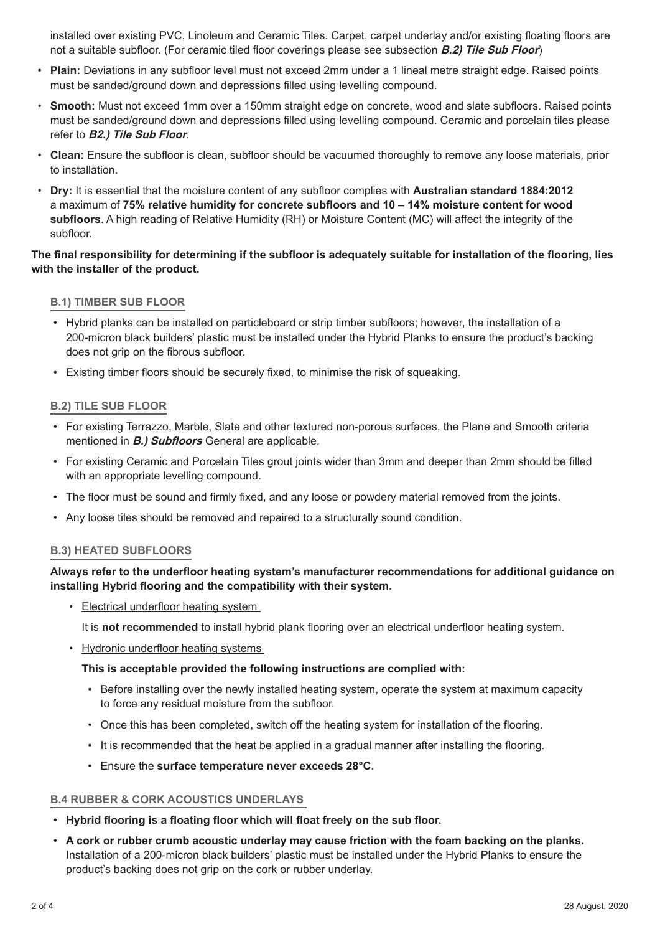installed over existing PVC, Linoleum and Ceramic Tiles. Carpet, carpet underlay and/or existing floating floors are not a suitable subfloor. (For ceramic tiled floor coverings please see subsection **B.2) Tile Sub Floor**)

- **Plain:** Deviations in any subfloor level must not exceed 2mm under a 1 lineal metre straight edge. Raised points must be sanded/ground down and depressions filled using levelling compound.
- **Smooth:** Must not exceed 1mm over a 150mm straight edge on concrete, wood and slate subfloors. Raised points must be sanded/ground down and depressions filled using levelling compound. Ceramic and porcelain tiles please refer to **B2.) Tile Sub Floor**.
- **Clean:** Ensure the subfloor is clean, subfloor should be vacuumed thoroughly to remove any loose materials, prior to installation.
- **Dry:** It is essential that the moisture content of any subfloor complies with **Australian standard 1884:2012** a maximum of **75% relative humidity for concrete subfloors and 10 – 14% moisture content for wood subfloors**. A high reading of Relative Humidity (RH) or Moisture Content (MC) will affect the integrity of the subfloor.

#### **The final responsibility for determining if the subfloor is adequately suitable for installation of the flooring, lies with the installer of the product.**

#### **B.1) TIMBER SUB FLOOR**

- Hybrid planks can be installed on particleboard or strip timber subfloors; however, the installation of a 200-micron black builders' plastic must be installed under the Hybrid Planks to ensure the product's backing does not grip on the fibrous subfloor.
- Existing timber floors should be securely fixed, to minimise the risk of squeaking.

#### **B.2) TILE SUB FLOOR**

- For existing Terrazzo, Marble, Slate and other textured non-porous surfaces, the Plane and Smooth criteria mentioned in **B.) Subfloors** General are applicable.
- For existing Ceramic and Porcelain Tiles grout joints wider than 3mm and deeper than 2mm should be filled with an appropriate levelling compound.
- The floor must be sound and firmly fixed, and any loose or powdery material removed from the joints.
- Any loose tiles should be removed and repaired to a structurally sound condition.

#### **B.3) HEATED SUBFLOORS**

#### **Always refer to the underfloor heating system's manufacturer recommendations for additional guidance on installing Hybrid flooring and the compatibility with their system.**

• Electrical underfloor heating system

It is **not recommended** to install hybrid plank flooring over an electrical underfloor heating system.

• Hydronic underfloor heating systems

#### **This is acceptable provided the following instructions are complied with:**

- Before installing over the newly installed heating system, operate the system at maximum capacity to force any residual moisture from the subfloor.
- Once this has been completed, switch off the heating system for installation of the flooring.
- It is recommended that the heat be applied in a gradual manner after installing the flooring.
- Ensure the **surface temperature never exceeds 28°C.**

#### **B.4 RUBBER & CORK ACOUSTICS UNDERLAYS**

- **Hybrid flooring is a floating floor which will float freely on the sub floor.**
- **A cork or rubber crumb acoustic underlay may cause friction with the foam backing on the planks.** Installation of a 200-micron black builders' plastic must be installed under the Hybrid Planks to ensure the product's backing does not grip on the cork or rubber underlay.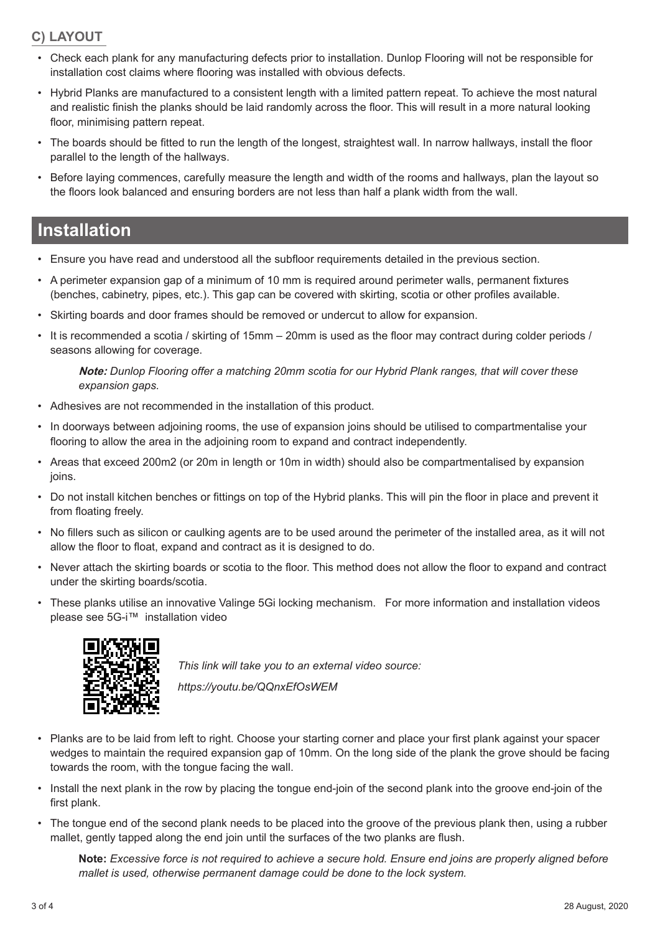### **C) LAYOUT**

- Check each plank for any manufacturing defects prior to installation. Dunlop Flooring will not be responsible for installation cost claims where flooring was installed with obvious defects.
- Hybrid Planks are manufactured to a consistent length with a limited pattern repeat. To achieve the most natural and realistic finish the planks should be laid randomly across the floor. This will result in a more natural looking floor, minimising pattern repeat.
- The boards should be fitted to run the length of the longest, straightest wall. In narrow hallways, install the floor parallel to the length of the hallways.
- Before laying commences, carefully measure the length and width of the rooms and hallways, plan the layout so the floors look balanced and ensuring borders are not less than half a plank width from the wall.

## **Installation**

- Ensure you have read and understood all the subfloor requirements detailed in the previous section.
- A perimeter expansion gap of a minimum of 10 mm is required around perimeter walls, permanent fixtures (benches, cabinetry, pipes, etc.). This gap can be covered with skirting, scotia or other profiles available.
- Skirting boards and door frames should be removed or undercut to allow for expansion.
- It is recommended a scotia / skirting of 15mm 20mm is used as the floor may contract during colder periods / seasons allowing for coverage.

**Note:** *Dunlop Flooring offer a matching 20mm scotia for our Hybrid Plank ranges, that will cover these expansion gaps.* 

- Adhesives are not recommended in the installation of this product.
- In doorways between adjoining rooms, the use of expansion joins should be utilised to compartmentalise your flooring to allow the area in the adjoining room to expand and contract independently.
- Areas that exceed 200m2 (or 20m in length or 10m in width) should also be compartmentalised by expansion joins.
- Do not install kitchen benches or fittings on top of the Hybrid planks. This will pin the floor in place and prevent it from floating freely.
- No fillers such as silicon or caulking agents are to be used around the perimeter of the installed area, as it will not allow the floor to float, expand and contract as it is designed to do.
- Never attach the skirting boards or scotia to the floor. This method does not allow the floor to expand and contract under the skirting boards/scotia.
- These planks utilise an innovative Valinge 5Gi locking mechanism. For more information and installation videos please see 5G-i™ installation video



towards the room, with the tongue facing the wall.

*This link will take you to an external video source: https://youtu.be/QQnxEfOsWEM*

• Planks are to be laid from left to right. Choose your starting corner and place your first plank against your spacer wedges to maintain the required expansion gap of 10mm. On the long side of the plank the grove should be facing

- Install the next plank in the row by placing the tongue end-join of the second plank into the groove end-join of the first plank.
- The tongue end of the second plank needs to be placed into the groove of the previous plank then, using a rubber mallet, gently tapped along the end join until the surfaces of the two planks are flush.

**Note:** *Excessive force is not required to achieve a secure hold. Ensure end joins are properly aligned before mallet is used, otherwise permanent damage could be done to the lock system.*